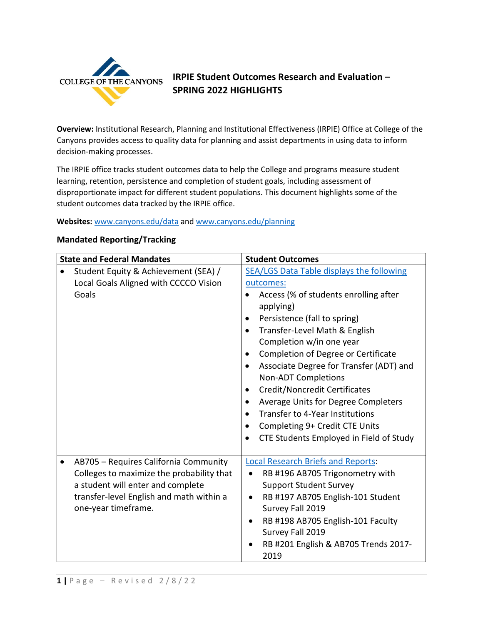

# **IRPIE Student Outcomes Research and Evaluation -SPRING 2022 HIGHLIGHTS IRPIE Student Outcomes Research and Evaluation – SPRING 2022 HIGHLIGHTS**<br>**Overview:** Institutional Research, Planning and Institutional Effectiveness (IRPIE) Office at College of the

 Canyons provides access to quality data for planning and assist departments in using data to inform decision-making processes.

 The IRPIE office tracks student outcomes data to help the College and programs measure student learning, retention, persistence and completion of student goals, including assessment of disproportionate impact for different student populations. This document highlights some of the student outcomes data tracked by the IRPIE office.

### **Websites:** [www.canyons.edu/data](http://www.canyons.edu/data) and [www.canyons.edu/planning](http://www.canyons.edu/planning)

|                                   | <b>Mandated Reporting/Tracking</b>                                                                                                                                                         |                                                                                                                                                                                                                                                                                                                                                                                                                                                                                                                                                                                           |  |
|-----------------------------------|--------------------------------------------------------------------------------------------------------------------------------------------------------------------------------------------|-------------------------------------------------------------------------------------------------------------------------------------------------------------------------------------------------------------------------------------------------------------------------------------------------------------------------------------------------------------------------------------------------------------------------------------------------------------------------------------------------------------------------------------------------------------------------------------------|--|
| <b>State and Federal Mandates</b> |                                                                                                                                                                                            | <b>Student Outcomes</b>                                                                                                                                                                                                                                                                                                                                                                                                                                                                                                                                                                   |  |
|                                   | Student Equity & Achievement (SEA) /<br>Local Goals Aligned with CCCCO Vision<br>Goals                                                                                                     | <b>SEA/LGS Data Table displays the following</b><br>outcomes:<br>Access (% of students enrolling after<br>applying)<br>Persistence (fall to spring)<br>Transfer-Level Math & English<br>$\bullet$<br>Completion w/in one year<br>Completion of Degree or Certificate<br>$\bullet$<br>Associate Degree for Transfer (ADT) and<br><b>Non-ADT Completions</b><br>Credit/Noncredit Certificates<br>$\bullet$<br>Average Units for Degree Completers<br>Transfer to 4-Year Institutions<br>$\bullet$<br>Completing 9+ Credit CTE Units<br>$\bullet$<br>CTE Students Employed in Field of Study |  |
|                                   | AB705 - Requires California Community<br>Colleges to maximize the probability that<br>a student will enter and complete<br>transfer-level English and math within a<br>one-year timeframe. | <b>Local Research Briefs and Reports:</b><br>RB #196 AB705 Trigonometry with<br>$\bullet$<br><b>Support Student Survey</b><br>RB #197 AB705 English-101 Student<br>$\bullet$<br>Survey Fall 2019<br>RB #198 AB705 English-101 Faculty<br>$\bullet$<br>Survey Fall 2019<br>RB #201 English & AB705 Trends 2017-<br>2019                                                                                                                                                                                                                                                                    |  |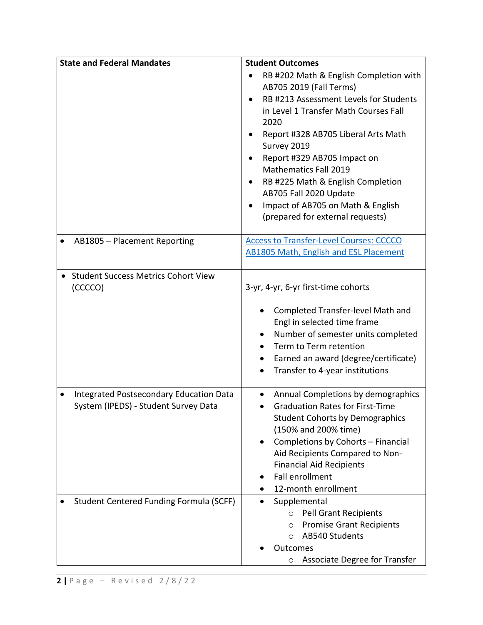| <b>State and Federal Mandates</b>                                               | <b>Student Outcomes</b>                                                                                                                                                                                                                                                                                                                                                                                                   |
|---------------------------------------------------------------------------------|---------------------------------------------------------------------------------------------------------------------------------------------------------------------------------------------------------------------------------------------------------------------------------------------------------------------------------------------------------------------------------------------------------------------------|
|                                                                                 | RB #202 Math & English Completion with<br>AB705 2019 (Fall Terms)<br>RB #213 Assessment Levels for Students<br>in Level 1 Transfer Math Courses Fall<br>2020<br>Report #328 AB705 Liberal Arts Math<br>Survey 2019<br>Report #329 AB705 Impact on<br><b>Mathematics Fall 2019</b><br>RB #225 Math & English Completion<br>AB705 Fall 2020 Update<br>Impact of AB705 on Math & English<br>(prepared for external requests) |
| AB1805 - Placement Reporting                                                    | Access to Transfer-Level Courses: CCCCO<br><b>AB1805 Math, English and ESL Placement</b>                                                                                                                                                                                                                                                                                                                                  |
| <b>Student Success Metrics Cohort View</b><br>$\bullet$<br>(CCCCO)              | 3-yr, 4-yr, 6-yr first-time cohorts<br>Completed Transfer-level Math and<br>Engl in selected time frame<br>Number of semester units completed<br>Term to Term retention<br>Earned an award (degree/certificate)<br>Transfer to 4-year institutions<br>$\bullet$                                                                                                                                                           |
| Integrated Postsecondary Education Data<br>System (IPEDS) - Student Survey Data | Annual Completions by demographics<br>٠<br><b>Graduation Rates for First-Time</b><br><b>Student Cohorts by Demographics</b><br>(150% and 200% time)<br>Completions by Cohorts - Financial<br>Aid Recipients Compared to Non-<br><b>Financial Aid Recipients</b><br><b>Fall enrollment</b><br>12-month enrollment                                                                                                          |
| <b>Student Centered Funding Formula (SCFF)</b>                                  | Supplemental<br><b>Pell Grant Recipients</b><br>$\circ$<br><b>Promise Grant Recipients</b><br>$\circ$<br>AB540 Students<br>$\circ$<br>Outcomes<br><b>Associate Degree for Transfer</b><br>$\circ$                                                                                                                                                                                                                         |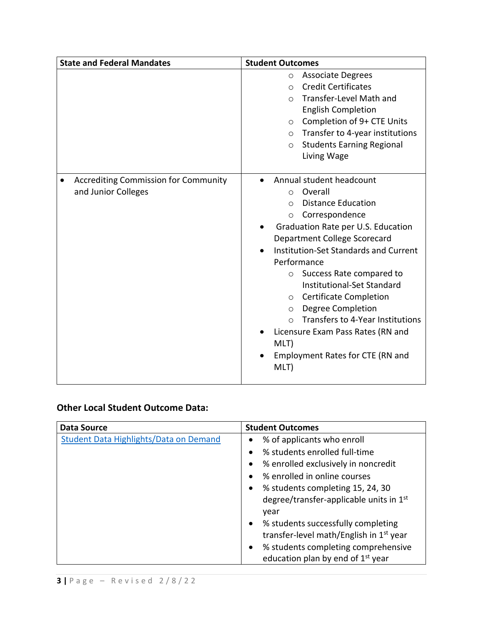| <b>State and Federal Mandates</b>                                  | <b>Student Outcomes</b>                                                                                                                                                                                                                                                                                                                                                                                                                                                                                                                                                     |
|--------------------------------------------------------------------|-----------------------------------------------------------------------------------------------------------------------------------------------------------------------------------------------------------------------------------------------------------------------------------------------------------------------------------------------------------------------------------------------------------------------------------------------------------------------------------------------------------------------------------------------------------------------------|
|                                                                    | <b>Associate Degrees</b><br>$\circ$<br><b>Credit Certificates</b><br>$\bigcirc$<br>Transfer-Level Math and<br>$\cap$<br><b>English Completion</b><br>Completion of 9+ CTE Units<br>$\circ$<br>$\circ$ Transfer to 4-year institutions<br><b>Students Earning Regional</b><br>$\circ$<br>Living Wage                                                                                                                                                                                                                                                                         |
| <b>Accrediting Commission for Community</b><br>and Junior Colleges | Annual student headcount<br>$\bullet$<br>Overall<br>$\Omega$<br><b>Distance Education</b><br>$\bigcirc$<br>Correspondence<br>$\circ$<br>Graduation Rate per U.S. Education<br>Department College Scorecard<br><b>Institution-Set Standards and Current</b><br>Performance<br>Success Rate compared to<br>$\circ$<br>Institutional-Set Standard<br><b>Certificate Completion</b><br>$\circ$<br><b>Degree Completion</b><br>$\circ$<br>Transfers to 4-Year Institutions<br>$\bigcap$<br>Licensure Exam Pass Rates (RN and<br>MLT)<br>Employment Rates for CTE (RN and<br>MLT) |

# **Other Local Student Outcome Data:**

| Data Source                            | <b>Student Outcomes</b>                             |
|----------------------------------------|-----------------------------------------------------|
| Student Data Highlights/Data on Demand | % of applicants who enroll<br>٠                     |
|                                        | % students enrolled full-time                       |
|                                        | % enrolled exclusively in noncredit<br>٠            |
|                                        | % enrolled in online courses                        |
|                                        | % students completing 15, 24, 30<br>$\bullet$       |
|                                        | degree/transfer-applicable units in 1 <sup>st</sup> |
|                                        | year                                                |
|                                        | % students successfully completing<br>$\bullet$     |
|                                        | transfer-level math/English in 1 <sup>st</sup> year |
|                                        | % students completing comprehensive<br>$\bullet$    |
|                                        | education plan by end of 1 <sup>st</sup> year       |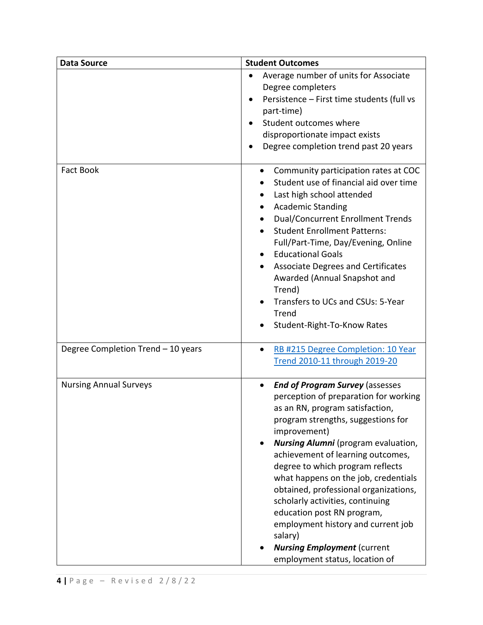| <b>Data Source</b>                 | <b>Student Outcomes</b>                                                                                                                                                                                                                                                                                                                                                                                                                                                                                                                                                                  |
|------------------------------------|------------------------------------------------------------------------------------------------------------------------------------------------------------------------------------------------------------------------------------------------------------------------------------------------------------------------------------------------------------------------------------------------------------------------------------------------------------------------------------------------------------------------------------------------------------------------------------------|
|                                    | Average number of units for Associate<br>Degree completers<br>Persistence - First time students (full vs<br>part-time)<br>Student outcomes where<br>disproportionate impact exists<br>Degree completion trend past 20 years                                                                                                                                                                                                                                                                                                                                                              |
| <b>Fact Book</b>                   | Community participation rates at COC<br>$\bullet$<br>Student use of financial aid over time<br>Last high school attended<br><b>Academic Standing</b><br>$\bullet$<br><b>Dual/Concurrent Enrollment Trends</b><br><b>Student Enrollment Patterns:</b><br>Full/Part-Time, Day/Evening, Online<br><b>Educational Goals</b><br>$\bullet$<br><b>Associate Degrees and Certificates</b><br>$\bullet$<br>Awarded (Annual Snapshot and<br>Trend)<br>Transfers to UCs and CSUs: 5-Year<br>$\bullet$<br>Trend<br>Student-Right-To-Know Rates                                                       |
| Degree Completion Trend - 10 years | RB #215 Degree Completion: 10 Year<br>$\bullet$<br>Trend 2010-11 through 2019-20                                                                                                                                                                                                                                                                                                                                                                                                                                                                                                         |
| <b>Nursing Annual Surveys</b>      | <b>End of Program Survey (assesses</b><br>$\bullet$<br>perception of preparation for working<br>as an RN, program satisfaction,<br>program strengths, suggestions for<br>improvement)<br><b>Nursing Alumni</b> (program evaluation,<br>achievement of learning outcomes,<br>degree to which program reflects<br>what happens on the job, credentials<br>obtained, professional organizations,<br>scholarly activities, continuing<br>education post RN program,<br>employment history and current job<br>salary)<br><b>Nursing Employment (current</b><br>employment status, location of |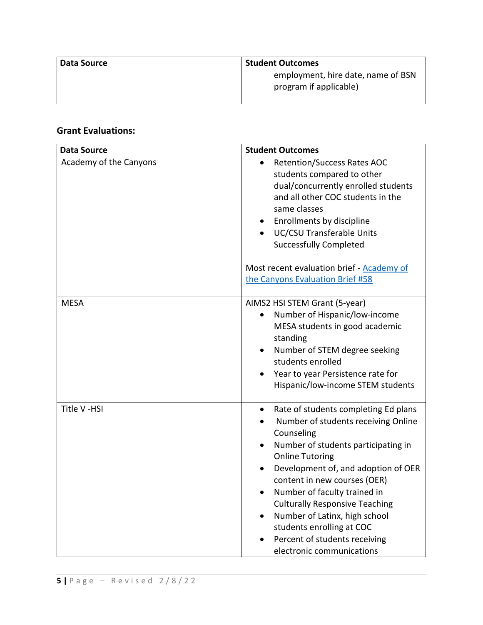| Data Source | <b>Student Outcomes</b>                                      |
|-------------|--------------------------------------------------------------|
|             | employment, hire date, name of BSN<br>program if applicable) |

## **Grant Evaluations:**

| <b>Data Source</b>     | <b>Student Outcomes</b>                                                                                                                                                                                                                                                                                                                                                                                                                             |
|------------------------|-----------------------------------------------------------------------------------------------------------------------------------------------------------------------------------------------------------------------------------------------------------------------------------------------------------------------------------------------------------------------------------------------------------------------------------------------------|
| Academy of the Canyons | <b>Retention/Success Rates AOC</b><br>$\bullet$<br>students compared to other<br>dual/concurrently enrolled students<br>and all other COC students in the<br>same classes<br>Enrollments by discipline<br><b>UC/CSU Transferable Units</b><br><b>Successfully Completed</b>                                                                                                                                                                         |
|                        | Most recent evaluation brief - Academy of<br>the Canyons Evaluation Brief #58                                                                                                                                                                                                                                                                                                                                                                       |
| <b>MESA</b>            | AIMS2 HSI STEM Grant (5-year)<br>Number of Hispanic/low-income<br>$\bullet$<br>MESA students in good academic<br>standing<br>Number of STEM degree seeking<br>students enrolled<br>Year to year Persistence rate for<br>Hispanic/low-income STEM students                                                                                                                                                                                           |
| Title V-HSI            | Rate of students completing Ed plans<br>$\bullet$<br>Number of students receiving Online<br>Counseling<br>Number of students participating in<br><b>Online Tutoring</b><br>Development of, and adoption of OER<br>content in new courses (OER)<br>Number of faculty trained in<br><b>Culturally Responsive Teaching</b><br>Number of Latinx, high school<br>students enrolling at COC<br>Percent of students receiving<br>electronic communications |